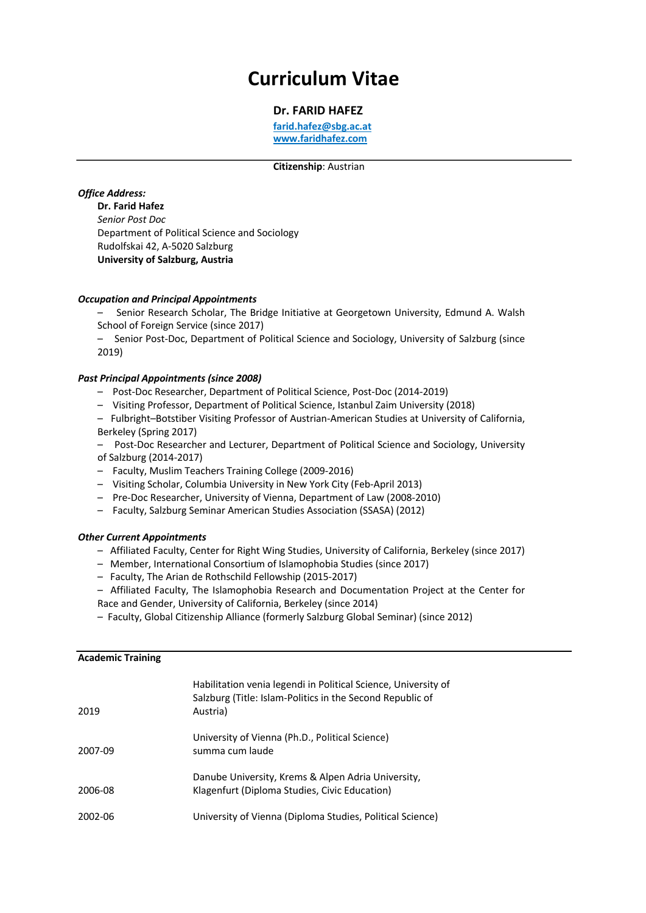# **Curriculum Vitae**

## **Dr. FARID HAFEZ**

**farid.hafez@sbg.ac.at www.faridhafez.com**

#### **Citizenship**: Austrian

#### *Office Address:*

**Dr. Farid Hafez** *Senior Post Doc* Department of Political Science and Sociology Rudolfskai 42, A-5020 Salzburg **University of Salzburg, Austria**

#### *Occupation and Principal Appointments*

– Senior Research Scholar, The Bridge Initiative at Georgetown University, Edmund A. Walsh School of Foreign Service (since 2017)

– Senior Post-Doc, Department of Political Science and Sociology, University of Salzburg (since 2019)

#### *Past Principal Appointments (since 2008)*

- Post-Doc Researcher, Department of Political Science, Post-Doc (2014-2019)
- Visiting Professor, Department of Political Science, Istanbul Zaim University (2018)
- Fulbright–Botstiber Visiting Professor of Austrian-American Studies at University of California, Berkeley (Spring 2017)
- Post-Doc Researcher and Lecturer, Department of Political Science and Sociology, University of Salzburg (2014-2017)
- Faculty, Muslim Teachers Training College (2009-2016)
- Visiting Scholar, Columbia University in New York City (Feb-April 2013)
- Pre-Doc Researcher, University of Vienna, Department of Law (2008-2010)
- Faculty, Salzburg Seminar American Studies Association (SSASA) (2012)

#### *Other Current Appointments*

- Affiliated Faculty, Center for Right Wing Studies, University of California, Berkeley (since 2017)
- Member, International Consortium of Islamophobia Studies (since 2017)
- Faculty, The Arian de Rothschild Fellowship (2015-2017)
- Affiliated Faculty, The Islamophobia Research and Documentation Project at the Center for Race and Gender, University of California, Berkeley (since 2014)
- 
- Faculty, Global Citizenship Alliance (formerly Salzburg Global Seminar) (since 2012)

#### **Academic Training**

| 2019    | Habilitation venia legendi in Political Science, University of<br>Salzburg (Title: Islam-Politics in the Second Republic of<br>Austria) |
|---------|-----------------------------------------------------------------------------------------------------------------------------------------|
| 2007-09 | University of Vienna (Ph.D., Political Science)<br>summa cum laude                                                                      |
| 2006-08 | Danube University, Krems & Alpen Adria University,<br>Klagenfurt (Diploma Studies, Civic Education)                                     |
| 2002-06 | University of Vienna (Diploma Studies, Political Science)                                                                               |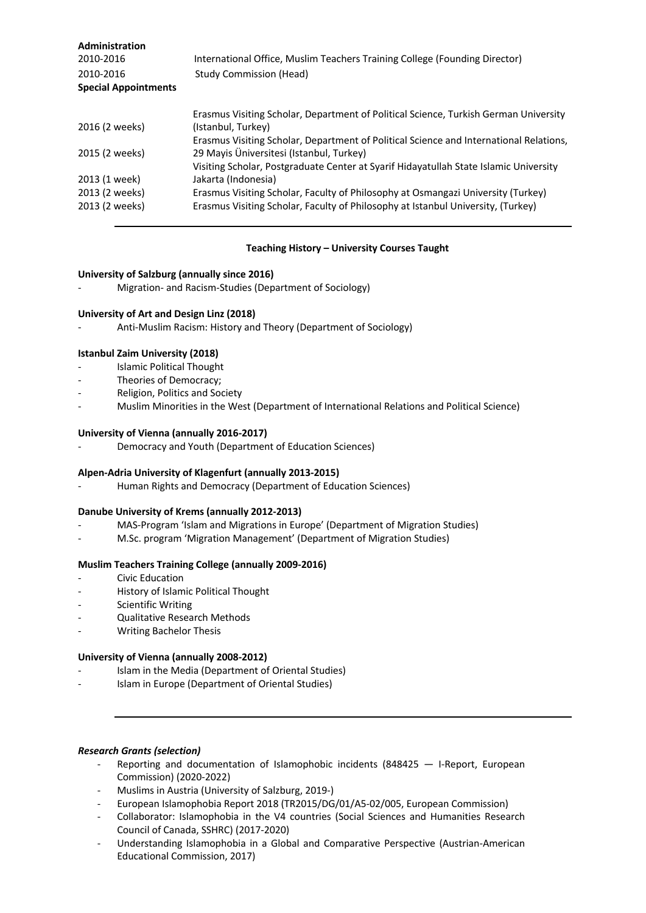| Administration<br>2010-2016<br>2010-2016<br><b>Special Appointments</b> | International Office, Muslim Teachers Training College (Founding Director)<br><b>Study Commission (Head)</b> |
|-------------------------------------------------------------------------|--------------------------------------------------------------------------------------------------------------|
|                                                                         | Erasmus Visiting Scholar, Department of Political Science, Turkish German University                         |
| 2016 (2 weeks)                                                          | (Istanbul, Turkey)                                                                                           |
|                                                                         | Erasmus Visiting Scholar, Department of Political Science and International Relations,                       |
| 2015 (2 weeks)                                                          | 29 Mayis Üniversitesi (Istanbul, Turkey)                                                                     |
|                                                                         | Visiting Scholar, Postgraduate Center at Syarif Hidayatullah State Islamic University                        |
| 2013 (1 week)                                                           | Jakarta (Indonesia)                                                                                          |
| 2013 (2 weeks)                                                          | Erasmus Visiting Scholar, Faculty of Philosophy at Osmangazi University (Turkey)                             |
| 2013 (2 weeks)                                                          | Erasmus Visiting Scholar, Faculty of Philosophy at Istanbul University, (Turkey)                             |

## **Teaching History – University Courses Taught**

#### **University of Salzburg (annually since 2016)**

Migration- and Racism-Studies (Department of Sociology)

## **University of Art and Design Linz (2018)**

- Anti-Muslim Racism: History and Theory (Department of Sociology)

## **Istanbul Zaim University (2018)**

- Islamic Political Thought
- Theories of Democracy;
- Religion, Politics and Society
- Muslim Minorities in the West (Department of International Relations and Political Science)

#### **University of Vienna (annually 2016-2017)**

Democracy and Youth (Department of Education Sciences)

# **Alpen-Adria University of Klagenfurt (annually 2013-2015)**

Human Rights and Democracy (Department of Education Sciences)

# **Danube University of Krems (annually 2012-2013)**

- MAS-Program 'Islam and Migrations in Europe' (Department of Migration Studies)
- M.Sc. program 'Migration Management' (Department of Migration Studies)

#### **Muslim Teachers Training College (annually 2009-2016)**

- Civic Education
- History of Islamic Political Thought
- Scientific Writing
- Qualitative Research Methods
- Writing Bachelor Thesis

#### **University of Vienna (annually 2008-2012)**

- Islam in the Media (Department of Oriental Studies)
- Islam in Europe (Department of Oriental Studies)

#### *Research Grants (selection)*

- Reporting and documentation of Islamophobic incidents (848425  $-$  I-Report, European Commission) (2020-2022)
- Muslims in Austria (University of Salzburg, 2019-)
- European Islamophobia Report 2018 (TR2015/DG/01/A5-02/005, European Commission)
- Collaborator: Islamophobia in the V4 countries (Social Sciences and Humanities Research Council of Canada, SSHRC) (2017-2020)
- Understanding Islamophobia in a Global and Comparative Perspective (Austrian-American Educational Commission, 2017)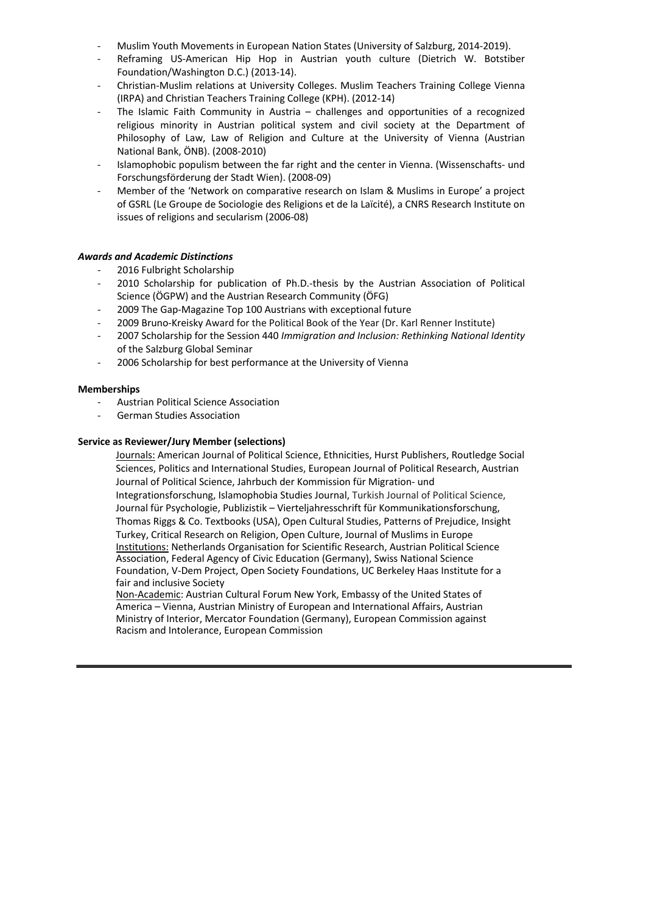- Muslim Youth Movements in European Nation States (University of Salzburg, 2014-2019).
- Reframing US-American Hip Hop in Austrian youth culture (Dietrich W. Botstiber Foundation/Washington D.C.) (2013-14).
- Christian-Muslim relations at University Colleges. Muslim Teachers Training College Vienna (IRPA) and Christian Teachers Training College (KPH). (2012-14)
- The Islamic Faith Community in Austria challenges and opportunities of a recognized religious minority in Austrian political system and civil society at the Department of Philosophy of Law, Law of Religion and Culture at the University of Vienna (Austrian National Bank, ÖNB). (2008-2010)
- Islamophobic populism between the far right and the center in Vienna. (Wissenschafts- und Forschungsförderung der Stadt Wien). (2008-09)
- Member of the 'Network on comparative research on Islam & Muslims in Europe' a project of GSRL (Le Groupe de Sociologie des Religions et de la Laïcité), a CNRS Research Institute on issues of religions and secularism (2006-08)

## *Awards and Academic Distinctions*

- 2016 Fulbright Scholarship
- 2010 Scholarship for publication of Ph.D.-thesis by the Austrian Association of Political Science (ÖGPW) and the Austrian Research Community (ÖFG)
- 2009 The Gap-Magazine Top 100 Austrians with exceptional future
- 2009 Bruno-Kreisky Award for the Political Book of the Year (Dr. Karl Renner Institute)
- 2007 Scholarship for the Session 440 *Immigration and Inclusion: Rethinking National Identity* of the Salzburg Global Seminar
- 2006 Scholarship for best performance at the University of Vienna

#### **Memberships**

- Austrian Political Science Association
- German Studies Association

#### **Service as Reviewer/Jury Member (selections)**

Journals: American Journal of Political Science, Ethnicities, Hurst Publishers, Routledge Social Sciences, Politics and International Studies, European Journal of Political Research, Austrian Journal of Political Science, Jahrbuch der Kommission für Migration- und Integrationsforschung, Islamophobia Studies Journal, Turkish Journal of Political Science, Journal für Psychologie, Publizistik – Vierteljahresschrift für Kommunikationsforschung, Thomas Riggs & Co. Textbooks (USA), Open Cultural Studies, Patterns of Prejudice, Insight Turkey, Critical Research on Religion, Open Culture, Journal of Muslims in Europe Institutions: Netherlands Organisation for Scientific Research, Austrian Political Science Association, Federal Agency of Civic Education (Germany), Swiss National Science Foundation, V-Dem Project, Open Society Foundations, UC Berkeley Haas Institute for a fair and inclusive Society

Non-Academic: Austrian Cultural Forum New York, Embassy of the United States of America – Vienna, Austrian Ministry of European and International Affairs, Austrian Ministry of Interior, Mercator Foundation (Germany), European Commission against Racism and Intolerance, European Commission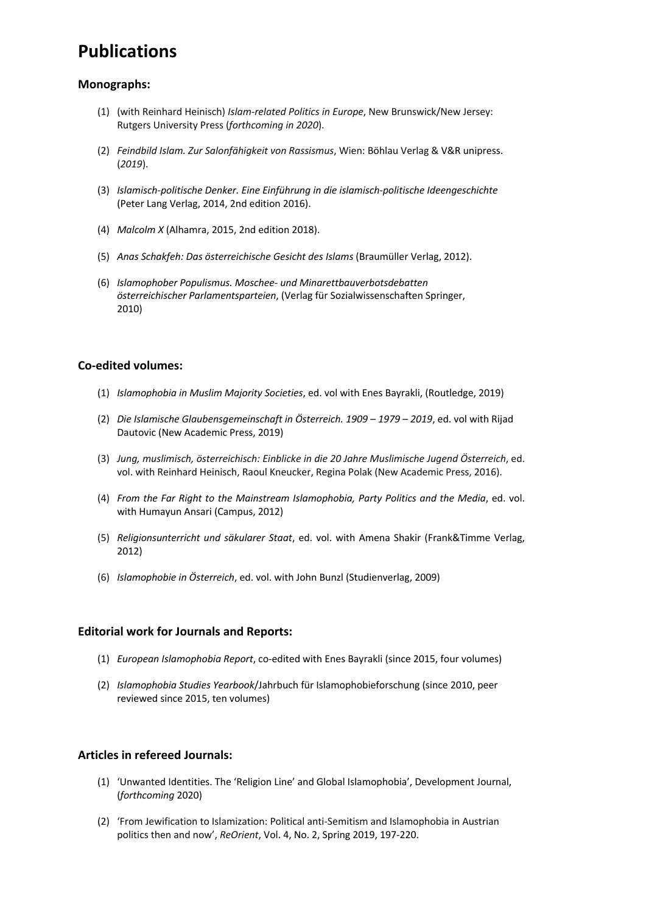# **Publications**

# **Monographs:**

- (1) (with Reinhard Heinisch) *Islam-related Politics in Europe*, New Brunswick/New Jersey: Rutgers University Press (*forthcoming in 2020*).
- (2) *Feindbild Islam. Zur Salonfähigkeit von Rassismus*, Wien: Böhlau Verlag & V&R unipress. (*2019*).
- (3) *Islamisch-politische Denker. Eine Einführung in die islamisch-politische Ideengeschichte*  (Peter Lang Verlag, 2014, 2nd edition 2016).
- (4) *Malcolm X* (Alhamra, 2015, 2nd edition 2018).
- (5) *Anas Schakfeh: Das österreichische Gesicht des Islams* (Braumüller Verlag, 2012).
- (6) *Islamophober Populismus. Moschee- und Minarettbauverbotsdebatten österreichischer Parlamentsparteien*, (Verlag für Sozialwissenschaften Springer, 2010)

# **Co-edited volumes:**

- (1) *Islamophobia in Muslim Majority Societies*, ed. vol with Enes Bayrakli, (Routledge, 2019)
- (2) *Die Islamische Glaubensgemeinschaft in Österreich. 1909 – 1979 – 2019*, ed. vol with Rijad Dautovic (New Academic Press, 2019)
- (3) *Jung, muslimisch, österreichisch: Einblicke in die 20 Jahre Muslimische Jugend Österreich*, ed. vol. with Reinhard Heinisch, Raoul Kneucker, Regina Polak (New Academic Press, 2016).
- (4) *From the Far Right to the Mainstream Islamophobia, Party Politics and the Media*, ed. vol. with Humayun Ansari (Campus, 2012)
- (5) *Religionsunterricht und säkularer Staat*, ed. vol. with Amena Shakir (Frank&Timme Verlag, 2012)
- (6) *Islamophobie in Österreich*, ed. vol. with John Bunzl (Studienverlag, 2009)

# **Editorial work for Journals and Reports:**

- (1) *European Islamophobia Report*, co-edited with Enes Bayrakli (since 2015, four volumes)
- (2) *Islamophobia Studies Yearbook*/Jahrbuch für Islamophobieforschung (since 2010, peer reviewed since 2015, ten volumes)

# **Articles in refereed Journals:**

- (1) 'Unwanted Identities. The 'Religion Line' and Global Islamophobia', Development Journal, (*forthcoming* 2020)
- (2) 'From Jewification to Islamization: Political anti-Semitism and Islamophobia in Austrian politics then and now', *ReOrient*, Vol. 4, No. 2, Spring 2019, 197-220.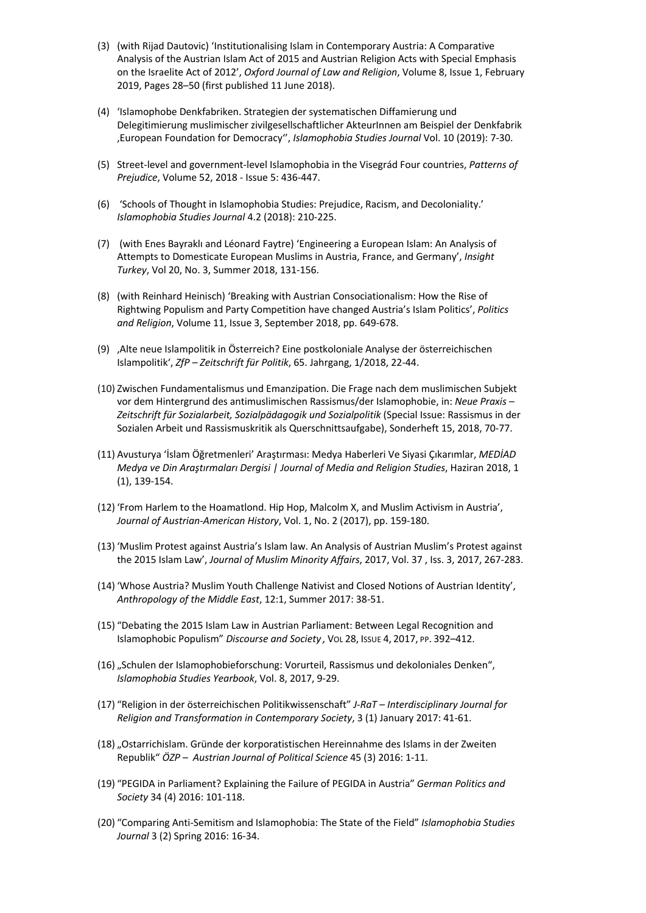- (3) (with Rijad Dautovic) 'Institutionalising Islam in Contemporary Austria: A Comparative Analysis of the Austrian Islam Act of 2015 and Austrian Religion Acts with Special Emphasis on the Israelite Act of 2012', *Oxford Journal of Law and Religion*, Volume 8, Issue 1, February 2019, Pages 28–50 (first published 11 June 2018).
- (4) 'Islamophobe Denkfabriken. Strategien der systematischen Diffamierung und Delegitimierung muslimischer zivilgesellschaftlicher AkteurInnen am Beispiel der Denkfabrik 'European Foundation for Democracy'', *Islamophobia Studies Journal* Vol. 10 (2019): 7-30.
- (5) Street-level and government-level Islamophobia in the Visegrád Four countries, *Patterns of Prejudice*, Volume 52, 2018 - Issue 5: 436-447.
- (6) 'Schools of Thought in Islamophobia Studies: Prejudice, Racism, and Decoloniality.' *Islamophobia Studies Journal* 4.2 (2018): 210-225.
- (7) (with Enes Bayraklı and Léonard Faytre) 'Engineering a European Islam: An Analysis of Attempts to Domesticate European Muslims in Austria, France, and Germany', *Insight Turkey*, Vol 20, No. 3, Summer 2018, 131-156.
- (8) (with Reinhard Heinisch) 'Breaking with Austrian Consociationalism: How the Rise of Rightwing Populism and Party Competition have changed Austria's Islam Politics', *Politics and Religion*, Volume 11, Issue 3, September 2018, pp. 649-678.
- (9) 'Alte neue Islampolitik in Österreich? Eine postkoloniale Analyse der österreichischen Islampolitik', *ZfP – Zeitschrift für Politik*, 65. Jahrgang, 1/2018, 22-44.
- (10) Zwischen Fundamentalismus und Emanzipation. Die Frage nach dem muslimischen Subjekt vor dem Hintergrund des antimuslimischen Rassismus/der Islamophobie, in: *Neue Praxis – Zeitschrift für Sozialarbeit, Sozialpädagogik und Sozialpolitik* (Special Issue: Rassismus in der Sozialen Arbeit und Rassismuskritik als Querschnittsaufgabe), Sonderheft 15, 2018, 70-77.
- (11) Avusturya 'İslam Öğretmenleri' Araştırması: Medya Haberleri Ve Siyasi Çıkarımlar, *MEDİAD Medya ve Din Araştırmaları Dergisi | Journal of Media and Religion Studies*, Haziran 2018, 1 (1), 139-154.
- (12) 'From Harlem to the Hoamatlond. Hip Hop, Malcolm X, and Muslim Activism in Austria', *Journal of Austrian-American History*, Vol. 1, No. 2 (2017), pp. 159-180.
- (13) 'Muslim Protest against Austria's Islam law. An Analysis of Austrian Muslim's Protest against the 2015 Islam Law', *Journal of Muslim Minority Affairs*, 2017, Vol. 37 , Iss. 3, 2017, 267-283.
- (14) 'Whose Austria? Muslim Youth Challenge Nativist and Closed Notions of Austrian Identity', *Anthropology of the Middle East*, 12:1, Summer 2017: 38-51.
- (15) "Debating the 2015 Islam Law in Austrian Parliament: Between Legal Recognition and Islamophobic Populism" *Discourse and Society ,* VOL 28, ISSUE 4, 2017, PP. 392–412.
- (16) "Schulen der Islamophobieforschung: Vorurteil, Rassismus und dekoloniales Denken", *Islamophobia Studies Yearbook*, Vol. 8, 2017, 9-29.
- (17) "Religion in der österreichischen Politikwissenschaft" *J-RaT – Interdisciplinary Journal for Religion and Transformation in Contemporary Society*, 3 (1) January 2017: 41-61.
- (18) "Ostarrichislam. Gründe der korporatistischen Hereinnahme des Islams in der Zweiten Republik" *ÖZP – Austrian Journal of Political Science* 45 (3) 2016: 1-11.
- (19) "PEGIDA in Parliament? Explaining the Failure of PEGIDA in Austria" *German Politics and Society* 34 (4) 2016: 101-118.
- (20) "Comparing Anti-Semitism and Islamophobia: The State of the Field" *Islamophobia Studies Journal* 3 (2) Spring 2016: 16-34.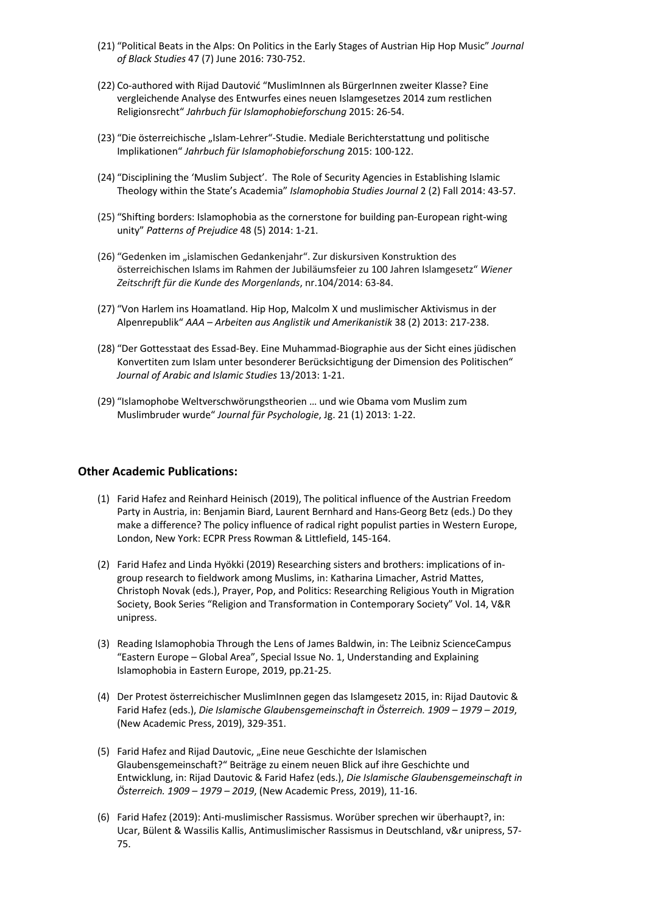- (21) "Political Beats in the Alps: On Politics in the Early Stages of Austrian Hip Hop Music" *Journal of Black Studies* 47 (7) June 2016: 730-752.
- (22) Co-authored with Rijad Dautović "MuslimInnen als BürgerInnen zweiter Klasse? Eine vergleichende Analyse des Entwurfes eines neuen Islamgesetzes 2014 zum restlichen Religionsrecht" *Jahrbuch für Islamophobieforschung* 2015: 26-54.
- (23) "Die österreichische "Islam-Lehrer"-Studie. Mediale Berichterstattung und politische Implikationen" *Jahrbuch für Islamophobieforschung* 2015: 100-122.
- (24) "Disciplining the 'Muslim Subject'. The Role of Security Agencies in Establishing Islamic Theology within the State's Academia" *Islamophobia Studies Journal* 2 (2) Fall 2014: 43-57.
- (25) "Shifting borders: Islamophobia as the cornerstone for building pan-European right-wing unity" *Patterns of Prejudice* 48 (5) 2014: 1-21.
- (26) "Gedenken im "islamischen Gedankenjahr". Zur diskursiven Konstruktion des österreichischen Islams im Rahmen der Jubiläumsfeier zu 100 Jahren Islamgesetz" *Wiener Zeitschrift für die Kunde des Morgenlands*, nr.104/2014: 63-84.
- (27) "Von Harlem ins Hoamatland. Hip Hop, Malcolm X und muslimischer Aktivismus in der Alpenrepublik" *AAA – Arbeiten aus Anglistik und Amerikanistik* 38 (2) 2013: 217-238.
- (28) "Der Gottesstaat des Essad-Bey. Eine Muhammad-Biographie aus der Sicht eines jüdischen Konvertiten zum Islam unter besonderer Berücksichtigung der Dimension des Politischen" *Journal of Arabic and Islamic Studies* 13/2013: 1-21.
- (29) "Islamophobe Weltverschwörungstheorien … und wie Obama vom Muslim zum Muslimbruder wurde" *Journal für Psychologie*, Jg. 21 (1) 2013: 1-22.

#### **Other Academic Publications:**

- (1) Farid Hafez and Reinhard Heinisch (2019), The political influence of the Austrian Freedom Party in Austria, in: Benjamin Biard, Laurent Bernhard and Hans-Georg Betz (eds.) Do they make a difference? The policy influence of radical right populist parties in Western Europe, London, New York: ECPR Press Rowman & Littlefield, 145-164.
- (2) Farid Hafez and Linda Hyökki (2019) Researching sisters and brothers: implications of ingroup research to fieldwork among Muslims, in: Katharina Limacher, Astrid Mattes, Christoph Novak (eds.), Prayer, Pop, and Politics: Researching Religious Youth in Migration Society, Book Series "Religion and Transformation in Contemporary Society" Vol. 14, V&R unipress.
- (3) Reading Islamophobia Through the Lens of James Baldwin, in: The Leibniz ScienceCampus "Eastern Europe – Global Area", Special Issue No. 1, Understanding and Explaining Islamophobia in Eastern Europe, 2019, pp.21-25.
- (4) Der Protest österreichischer MuslimInnen gegen das Islamgesetz 2015, in: Rijad Dautovic & Farid Hafez (eds.), *Die Islamische Glaubensgemeinschaft in Österreich. 1909 – 1979 – 2019*, (New Academic Press, 2019), 329-351.
- (5) Farid Hafez and Rijad Dautovic, "Eine neue Geschichte der Islamischen Glaubensgemeinschaft?" Beiträge zu einem neuen Blick auf ihre Geschichte und Entwicklung, in: Rijad Dautovic & Farid Hafez (eds.), *Die Islamische Glaubensgemeinschaft in Österreich. 1909 – 1979 – 2019*, (New Academic Press, 2019), 11-16.
- (6) Farid Hafez (2019): Anti-muslimischer Rassismus. Worüber sprechen wir überhaupt?, in: Ucar, Bülent & Wassilis Kallis, Antimuslimischer Rassismus in Deutschland, v&r unipress, 57- 75.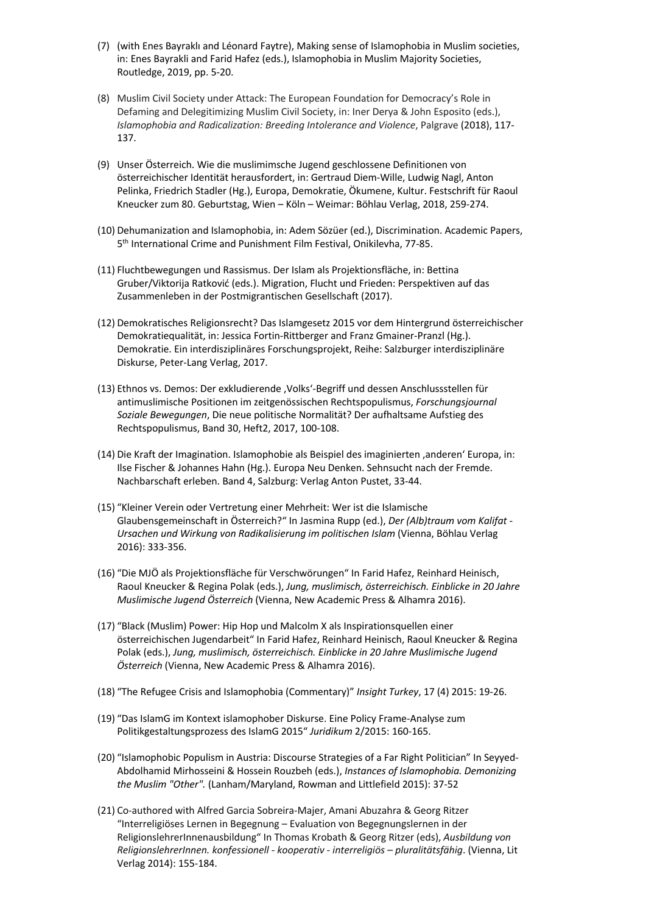- (7) (with Enes Bayraklı and Léonard Faytre), Making sense of Islamophobia in Muslim societies, in: Enes Bayrakli and Farid Hafez (eds.), Islamophobia in Muslim Majority Societies, Routledge, 2019, pp. 5-20.
- (8) Muslim Civil Society under Attack: The European Foundation for Democracy's Role in Defaming and Delegitimizing Muslim Civil Society, in: Iner Derya & John Esposito (eds.), *Islamophobia and Radicalization: Breeding Intolerance and Violence*, Palgrave (2018), 117- 137.
- (9) Unser Österreich. Wie die muslimimsche Jugend geschlossene Definitionen von österreichischer Identität herausfordert, in: Gertraud Diem-Wille, Ludwig Nagl, Anton Pelinka, Friedrich Stadler (Hg.), Europa, Demokratie, Ökumene, Kultur. Festschrift für Raoul Kneucker zum 80. Geburtstag, Wien – Köln – Weimar: Böhlau Verlag, 2018, 259-274.
- (10) Dehumanization and Islamophobia, in: Adem Sözüer (ed.), Discrimination. Academic Papers, 5th International Crime and Punishment Film Festival, Onikilevha, 77-85.
- (11) Fluchtbewegungen und Rassismus. Der Islam als Projektionsfläche, in: Bettina Gruber/Viktorija Ratković (eds.). Migration, Flucht und Frieden: Perspektiven auf das Zusammenleben in der Postmigrantischen Gesellschaft (2017).
- (12) Demokratisches Religionsrecht? Das Islamgesetz 2015 vor dem Hintergrund österreichischer Demokratiequalität, in: Jessica Fortin-Rittberger and Franz Gmainer-Pranzl (Hg.). Demokratie. Ein interdisziplinäres Forschungsprojekt, Reihe: Salzburger interdisziplinäre Diskurse, Peter-Lang Verlag, 2017.
- (13) Ethnos vs. Demos: Der exkludierende 'Volks'-Begriff und dessen Anschlussstellen für antimuslimische Positionen im zeitgenössischen Rechtspopulismus, *Forschungsjournal Soziale Bewegungen*, Die neue politische Normalität? Der aufhaltsame Aufstieg des Rechtspopulismus, Band 30, Heft2, 2017, 100-108.
- (14) Die Kraft der Imagination. Islamophobie als Beispiel des imaginierten ,anderen' Europa, in: Ilse Fischer & Johannes Hahn (Hg.). Europa Neu Denken. Sehnsucht nach der Fremde. Nachbarschaft erleben. Band 4, Salzburg: Verlag Anton Pustet, 33-44.
- (15) "Kleiner Verein oder Vertretung einer Mehrheit: Wer ist die Islamische Glaubensgemeinschaft in Österreich?" In Jasmina Rupp (ed.), *Der (Alb)traum vom Kalifat - Ursachen und Wirkung von Radikalisierung im politischen Islam* (Vienna, Böhlau Verlag 2016): 333-356.
- (16) "Die MJÖ als Projektionsfläche für Verschwörungen" In Farid Hafez, Reinhard Heinisch, Raoul Kneucker & Regina Polak (eds.), *Jung, muslimisch, österreichisch. Einblicke in 20 Jahre Muslimische Jugend Österreich* (Vienna, New Academic Press & Alhamra 2016).
- (17) "Black (Muslim) Power: Hip Hop und Malcolm X als Inspirationsquellen einer österreichischen Jugendarbeit" In Farid Hafez, Reinhard Heinisch, Raoul Kneucker & Regina Polak (eds.), *Jung, muslimisch, österreichisch. Einblicke in 20 Jahre Muslimische Jugend Österreich* (Vienna, New Academic Press & Alhamra 2016).
- (18) "The Refugee Crisis and Islamophobia (Commentary)" *Insight Turkey*, 17 (4) 2015: 19-26.
- (19) "Das IslamG im Kontext islamophober Diskurse. Eine Policy Frame-Analyse zum Politikgestaltungsprozess des IslamG 2015" *Juridikum* 2/2015: 160-165.
- (20) "Islamophobic Populism in Austria: Discourse Strategies of a Far Right Politician" In Seyyed-Abdolhamid Mirhosseini & Hossein Rouzbeh (eds.), *Instances of Islamophobia. Demonizing the Muslim "Other".* (Lanham/Maryland, Rowman and Littlefield 2015): 37-52
- (21) Co-authored with Alfred Garcia Sobreira-Majer, Amani Abuzahra & Georg Ritzer "Interreligiöses Lernen in Begegnung – Evaluation von Begegnungslernen in der ReligionslehrerInnenausbildung" In Thomas Krobath & Georg Ritzer (eds), *Ausbildung von ReligionslehrerInnen. konfessionell - kooperativ - interreligiös – pluralitätsfähig*. (Vienna, Lit Verlag 2014): 155-184.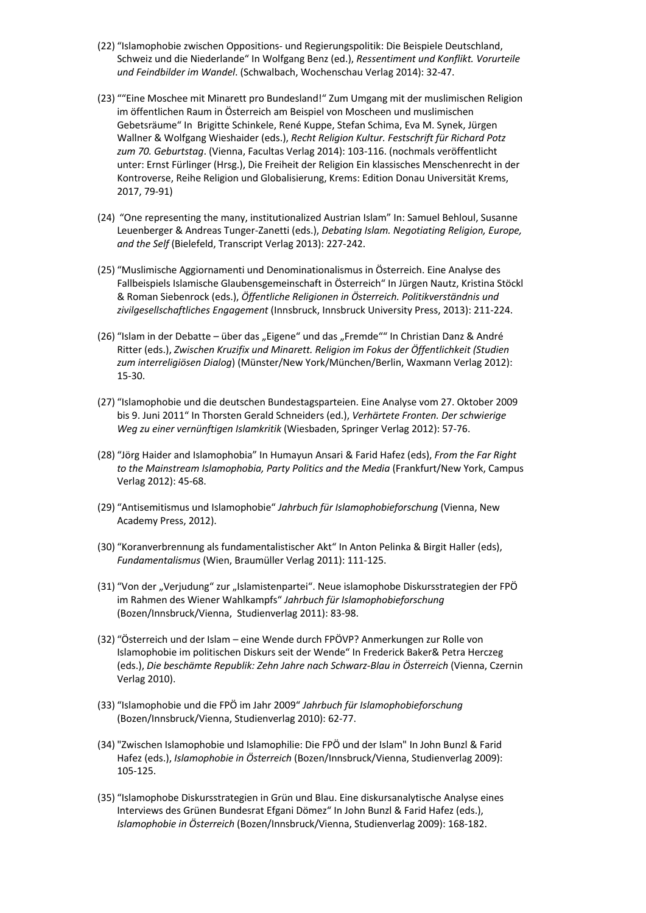- (22) "Islamophobie zwischen Oppositions- und Regierungspolitik: Die Beispiele Deutschland, Schweiz und die Niederlande" In Wolfgang Benz (ed.), *Ressentiment und Konflikt. Vorurteile und Feindbilder im Wandel*. (Schwalbach, Wochenschau Verlag 2014): 32-47.
- (23) ""Eine Moschee mit Minarett pro Bundesland!" Zum Umgang mit der muslimischen Religion im öffentlichen Raum in Österreich am Beispiel von Moscheen und muslimischen Gebetsräume" In Brigitte Schinkele, René Kuppe, Stefan Schima, Eva M. Synek, Jürgen Wallner & Wolfgang Wieshaider (eds.), *Recht Religion Kultur. Festschrift für Richard Potz zum 70. Geburtstag*. (Vienna, Facultas Verlag 2014): 103-116. (nochmals veröffentlicht unter: Ernst Fürlinger (Hrsg.), Die Freiheit der Religion Ein klassisches Menschenrecht in der Kontroverse, Reihe Religion und Globalisierung, Krems: Edition Donau Universität Krems, 2017, 79-91)
- (24) "One representing the many, institutionalized Austrian Islam" In: Samuel Behloul, Susanne Leuenberger & Andreas Tunger-Zanetti (eds.), *Debating Islam. Negotiating Religion, Europe, and the Self* (Bielefeld, Transcript Verlag 2013): 227-242.
- (25) "Muslimische Aggiornamenti und Denominationalismus in Österreich. Eine Analyse des Fallbeispiels Islamische Glaubensgemeinschaft in Österreich" In Jürgen Nautz, Kristina Stöckl & Roman Siebenrock (eds.), *Öffentliche Religionen in Österreich. Politikverständnis und zivilgesellschaftliches Engagement* (Innsbruck, Innsbruck University Press, 2013): 211-224.
- (26) "Islam in der Debatte über das "Eigene" und das "Fremde"" In Christian Danz & André Ritter (eds.), *Zwischen Kruzifix und Minarett. Religion im Fokus der Öffentlichkeit (Studien zum interreligiösen Dialog*) (Münster/New York/München/Berlin, Waxmann Verlag 2012): 15-30.
- (27) "Islamophobie und die deutschen Bundestagsparteien. Eine Analyse vom 27. Oktober 2009 bis 9. Juni 2011" In Thorsten Gerald Schneiders (ed.), *Verhärtete Fronten. Der schwierige Weg zu einer vernünftigen Islamkritik* (Wiesbaden, Springer Verlag 2012): 57-76.
- (28) "Jörg Haider and Islamophobia" In Humayun Ansari & Farid Hafez (eds), *From the Far Right to the Mainstream Islamophobia, Party Politics and the Media* (Frankfurt/New York, Campus Verlag 2012): 45-68.
- (29) "Antisemitismus und Islamophobie" *Jahrbuch für Islamophobieforschung* (Vienna, New Academy Press, 2012).
- (30) "Koranverbrennung als fundamentalistischer Akt" In Anton Pelinka & Birgit Haller (eds), *Fundamentalismus* (Wien, Braumüller Verlag 2011): 111-125.
- (31) "Von der "Verjudung" zur "Islamistenpartei". Neue islamophobe Diskursstrategien der FPÖ im Rahmen des Wiener Wahlkampfs" *Jahrbuch für Islamophobieforschung* (Bozen/Innsbruck/Vienna, Studienverlag 2011): 83-98.
- (32) "Österreich und der Islam eine Wende durch FPÖVP? Anmerkungen zur Rolle von Islamophobie im politischen Diskurs seit der Wende" In Frederick Baker& Petra Herczeg (eds.), *Die beschämte Republik: Zehn Jahre nach Schwarz-Blau in Österreich* (Vienna, Czernin Verlag 2010).
- (33) "Islamophobie und die FPÖ im Jahr 2009" *Jahrbuch für Islamophobieforschung* (Bozen/Innsbruck/Vienna, Studienverlag 2010): 62-77.
- (34) "Zwischen Islamophobie und Islamophilie: Die FPÖ und der Islam" In John Bunzl & Farid Hafez (eds.), *Islamophobie in Österreich* (Bozen/Innsbruck/Vienna, Studienverlag 2009): 105-125.
- (35) "Islamophobe Diskursstrategien in Grün und Blau. Eine diskursanalytische Analyse eines Interviews des Grünen Bundesrat Efgani Dömez" In John Bunzl & Farid Hafez (eds.), *Islamophobie in Österreich* (Bozen/Innsbruck/Vienna, Studienverlag 2009): 168-182.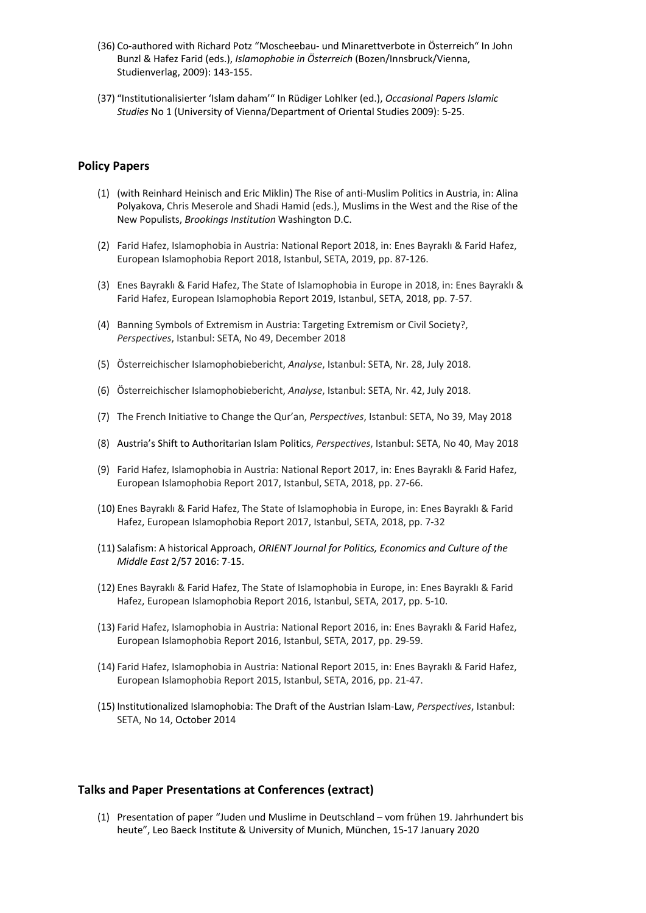- (36) Co-authored with Richard Potz "Moscheebau- und Minarettverbote in Österreich" In John Bunzl & Hafez Farid (eds.), *Islamophobie in Österreich* (Bozen/Innsbruck/Vienna, Studienverlag, 2009): 143-155.
- (37) "Institutionalisierter 'Islam daham'" In Rüdiger Lohlker (ed.), *Occasional Papers Islamic Studies* No 1 (University of Vienna/Department of Oriental Studies 2009): 5-25.

## **Policy Papers**

- (1) (with Reinhard Heinisch and Eric Miklin) The Rise of anti-Muslim Politics in Austria, in: Alina Polyakova, Chris Meserole and Shadi Hamid (eds.), Muslims in the West and the Rise of the New Populists, *Brookings Institution* Washington D.C.
- (2) Farid Hafez, Islamophobia in Austria: National Report 2018, in: Enes Bayraklı & Farid Hafez, European Islamophobia Report 2018, Istanbul, SETA, 2019, pp. 87-126.
- (3) Enes Bayraklı & Farid Hafez, The State of Islamophobia in Europe in 2018, in: Enes Bayraklı & Farid Hafez, European Islamophobia Report 2019, Istanbul, SETA, 2018, pp. 7-57.
- (4) Banning Symbols of Extremism in Austria: Targeting Extremism or Civil Society?, *Perspectives*, Istanbul: SETA, No 49, December 2018
- (5) Österreichischer Islamophobiebericht, *Analyse*, Istanbul: SETA, Nr. 28, July 2018.
- (6) Österreichischer Islamophobiebericht, *Analyse*, Istanbul: SETA, Nr. 42, July 2018.
- (7) The French Initiative to Change the Qur'an, *Perspectives*, Istanbul: SETA, No 39, May 2018
- (8) Austria's Shift to Authoritarian Islam Politics, *Perspectives*, Istanbul: SETA, No 40, May 2018
- (9) Farid Hafez, Islamophobia in Austria: National Report 2017, in: Enes Bayraklı & Farid Hafez, European Islamophobia Report 2017, Istanbul, SETA, 2018, pp. 27-66.
- (10) Enes Bayraklı & Farid Hafez, The State of Islamophobia in Europe, in: Enes Bayraklı & Farid Hafez, European Islamophobia Report 2017, Istanbul, SETA, 2018, pp. 7-32
- (11) Salafism: A historical Approach, *ORIENT Journal for Politics, Economics and Culture of the Middle East* 2/57 2016: 7-15.
- (12) Enes Bayraklı & Farid Hafez, The State of Islamophobia in Europe, in: Enes Bayraklı & Farid Hafez, European Islamophobia Report 2016, Istanbul, SETA, 2017, pp. 5-10.
- (13) Farid Hafez, Islamophobia in Austria: National Report 2016, in: Enes Bayraklı & Farid Hafez, European Islamophobia Report 2016, Istanbul, SETA, 2017, pp. 29-59.
- (14) Farid Hafez, Islamophobia in Austria: National Report 2015, in: Enes Bayraklı & Farid Hafez, European Islamophobia Report 2015, Istanbul, SETA, 2016, pp. 21-47.
- (15) Institutionalized Islamophobia: The Draft of the Austrian Islam-Law, *Perspectives*, Istanbul: SETA, No 14, October 2014

#### **Talks and Paper Presentations at Conferences (extract)**

(1) Presentation of paper "Juden und Muslime in Deutschland – vom frühen 19. Jahrhundert bis heute", Leo Baeck Institute & University of Munich, München, 15-17 January 2020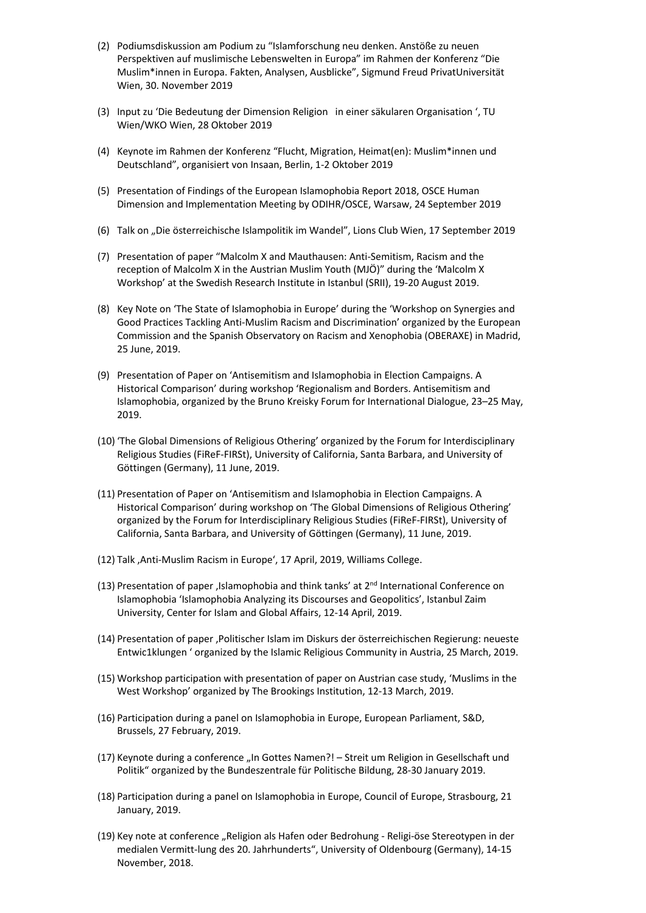- (2) Podiumsdiskussion am Podium zu "Islamforschung neu denken. Anstöße zu neuen Perspektiven auf muslimische Lebenswelten in Europa" im Rahmen der Konferenz "Die Muslim\*innen in Europa. Fakten, Analysen, Ausblicke", Sigmund Freud PrivatUniversität Wien, 30. November 2019
- (3) Input zu 'Die Bedeutung der Dimension Religion in einer säkularen Organisation ', TU Wien/WKO Wien, 28 Oktober 2019
- (4) Keynote im Rahmen der Konferenz "Flucht, Migration, Heimat(en): Muslim\*innen und Deutschland", organisiert von Insaan, Berlin, 1-2 Oktober 2019
- (5) Presentation of Findings of the European Islamophobia Report 2018, OSCE Human Dimension and Implementation Meeting by ODIHR/OSCE, Warsaw, 24 September 2019
- (6) Talk on "Die österreichische Islampolitik im Wandel", Lions Club Wien, 17 September 2019
- (7) Presentation of paper "Malcolm X and Mauthausen: Anti-Semitism, Racism and the reception of Malcolm X in the Austrian Muslim Youth (MJÖ)" during the 'Malcolm X Workshop' at the Swedish Research Institute in Istanbul (SRII), 19-20 August 2019.
- (8) Key Note on 'The State of Islamophobia in Europe' during the 'Workshop on Synergies and Good Practices Tackling Anti-Muslim Racism and Discrimination' organized by the European Commission and the Spanish Observatory on Racism and Xenophobia (OBERAXE) in Madrid, 25 June, 2019.
- (9) Presentation of Paper on 'Antisemitism and Islamophobia in Election Campaigns. A Historical Comparison' during workshop 'Regionalism and Borders. Antisemitism and Islamophobia, organized by the Bruno Kreisky Forum for International Dialogue, 23–25 May, 2019.
- (10) 'The Global Dimensions of Religious Othering' organized by the Forum for Interdisciplinary Religious Studies (FiReF-FIRSt), University of California, Santa Barbara, and University of Göttingen (Germany), 11 June, 2019.
- (11) Presentation of Paper on 'Antisemitism and Islamophobia in Election Campaigns. A Historical Comparison' during workshop on 'The Global Dimensions of Religious Othering' organized by the Forum for Interdisciplinary Religious Studies (FiReF-FIRSt), University of California, Santa Barbara, and University of Göttingen (Germany), 11 June, 2019.
- (12) Talk , Anti-Muslim Racism in Europe', 17 April, 2019, Williams College.
- (13) Presentation of paper , Islamophobia and think tanks' at  $2<sup>nd</sup>$  International Conference on Islamophobia 'Islamophobia Analyzing its Discourses and Geopolitics', Istanbul Zaim University, Center for Islam and Global Affairs, 12-14 April, 2019.
- (14) Presentation of paper 'Politischer Islam im Diskurs der österreichischen Regierung: neueste Entwic1klungen ' organized by the Islamic Religious Community in Austria, 25 March, 2019.
- (15) Workshop participation with presentation of paper on Austrian case study, 'Muslims in the West Workshop' organized by The Brookings Institution, 12-13 March, 2019.
- (16) Participation during a panel on Islamophobia in Europe, European Parliament, S&D, Brussels, 27 February, 2019.
- (17) Keynote during a conference "In Gottes Namen?! Streit um Religion in Gesellschaft und Politik" organized by the Bundeszentrale für Politische Bildung, 28-30 January 2019.
- (18) Participation during a panel on Islamophobia in Europe, Council of Europe, Strasbourg, 21 January, 2019.
- (19) Key note at conference "Religion als Hafen oder Bedrohung Religi-öse Stereotypen in der medialen Vermitt-lung des 20. Jahrhunderts", University of Oldenbourg (Germany), 14-15 November, 2018.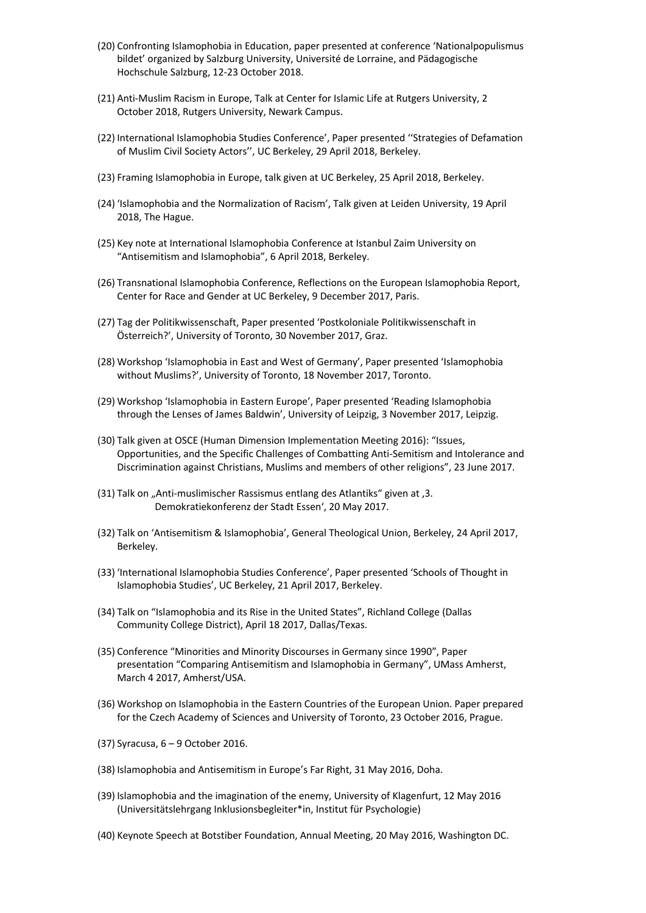- (20) Confronting Islamophobia in Education, paper presented at conference 'Nationalpopulismus bildet' organized by Salzburg University, Université de Lorraine, and Pädagogische Hochschule Salzburg, 12-23 October 2018.
- (21) Anti-Muslim Racism in Europe, Talk at Center for Islamic Life at Rutgers University, 2 October 2018, Rutgers University, Newark Campus.
- (22) International Islamophobia Studies Conference', Paper presented ''Strategies of Defamation of Muslim Civil Society Actors'', UC Berkeley, 29 April 2018, Berkeley.
- (23) Framing Islamophobia in Europe, talk given at UC Berkeley, 25 April 2018, Berkeley.
- (24) 'Islamophobia and the Normalization of Racism', Talk given at Leiden University, 19 April 2018, The Hague.
- (25) Key note at International Islamophobia Conference at Istanbul Zaim University on "Antisemitism and Islamophobia", 6 April 2018, Berkeley.
- (26) Transnational Islamophobia Conference, Reflections on the European Islamophobia Report, Center for Race and Gender at UC Berkeley, 9 December 2017, Paris.
- (27) Tag der Politikwissenschaft, Paper presented 'Postkoloniale Politikwissenschaft in Österreich?', University of Toronto, 30 November 2017, Graz.
- (28) Workshop 'Islamophobia in East and West of Germany', Paper presented 'Islamophobia without Muslims?', University of Toronto, 18 November 2017, Toronto.
- (29) Workshop 'Islamophobia in Eastern Europe', Paper presented 'Reading Islamophobia through the Lenses of James Baldwin', University of Leipzig, 3 November 2017, Leipzig.
- (30) Talk given at OSCE (Human Dimension Implementation Meeting 2016): "Issues, Opportunities, and the Specific Challenges of Combatting Anti-Semitism and Intolerance and Discrimination against Christians, Muslims and members of other religions", 23 June 2017.
- (31) Talk on "Anti-muslimischer Rassismus entlang des Atlantiks" given at '3. Demokratiekonferenz der Stadt Essen', 20 May 2017.
- (32) Talk on 'Antisemitism & Islamophobia', General Theological Union, Berkeley, 24 April 2017, Berkeley.
- (33) 'International Islamophobia Studies Conference', Paper presented 'Schools of Thought in Islamophobia Studies', UC Berkeley, 21 April 2017, Berkeley.
- (34) Talk on "Islamophobia and its Rise in the United States", Richland College (Dallas Community College District), April 18 2017, Dallas/Texas.
- (35) Conference "Minorities and Minority Discourses in Germany since 1990", Paper presentation "Comparing Antisemitism and Islamophobia in Germany", UMass Amherst, March 4 2017, Amherst/USA.
- (36) Workshop on Islamophobia in the Eastern Countries of the European Union. Paper prepared for the Czech Academy of Sciences and University of Toronto, 23 October 2016, Prague.
- (37) Syracusa, 6 9 October 2016.
- (38) Islamophobia and Antisemitism in Europe's Far Right, 31 May 2016, Doha.
- (39) Islamophobia and the imagination of the enemy, University of Klagenfurt, 12 May 2016 (Universitätslehrgang Inklusionsbegleiter\*in, Institut für Psychologie)
- (40) Keynote Speech at Botstiber Foundation, Annual Meeting, 20 May 2016, Washington DC.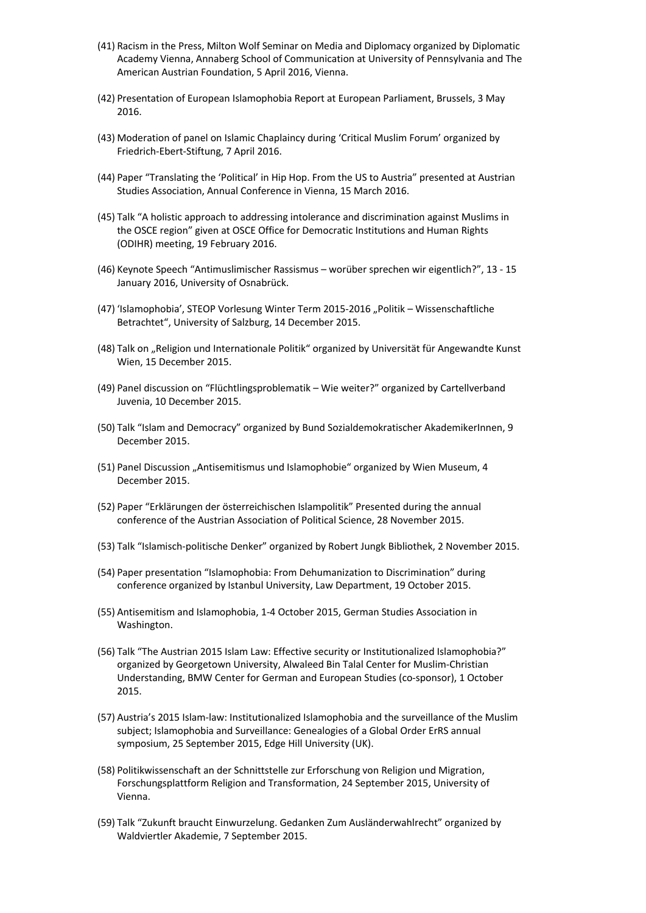- (41) Racism in the Press, Milton Wolf Seminar on Media and Diplomacy organized by Diplomatic Academy Vienna, Annaberg School of Communication at University of Pennsylvania and The American Austrian Foundation, 5 April 2016, Vienna.
- (42) Presentation of European Islamophobia Report at European Parliament, Brussels, 3 May 2016.
- (43) Moderation of panel on Islamic Chaplaincy during 'Critical Muslim Forum' organized by Friedrich-Ebert-Stiftung, 7 April 2016.
- (44) Paper "Translating the 'Political' in Hip Hop. From the US to Austria" presented at Austrian Studies Association, Annual Conference in Vienna, 15 March 2016.
- (45) Talk "A holistic approach to addressing intolerance and discrimination against Muslims in the OSCE region" given at OSCE Office for Democratic Institutions and Human Rights (ODIHR) meeting, 19 February 2016.
- (46) Keynote Speech "Antimuslimischer Rassismus worüber sprechen wir eigentlich?", 13 15 January 2016, University of Osnabrück.
- (47) 'Islamophobia', STEOP Vorlesung Winter Term 2015-2016 "Politik Wissenschaftliche Betrachtet", University of Salzburg, 14 December 2015.
- (48) Talk on "Religion und Internationale Politik" organized by Universität für Angewandte Kunst Wien, 15 December 2015.
- (49) Panel discussion on "Flüchtlingsproblematik Wie weiter?" organized by Cartellverband Juvenia, 10 December 2015.
- (50) Talk "Islam and Democracy" organized by Bund Sozialdemokratischer AkademikerInnen, 9 December 2015.
- (51) Panel Discussion "Antisemitismus und Islamophobie" organized by Wien Museum, 4 December 2015.
- (52) Paper "Erklärungen der österreichischen Islampolitik" Presented during the annual conference of the Austrian Association of Political Science, 28 November 2015.
- (53) Talk "Islamisch-politische Denker" organized by Robert Jungk Bibliothek, 2 November 2015.
- (54) Paper presentation "Islamophobia: From Dehumanization to Discrimination" during conference organized by Istanbul University, Law Department, 19 October 2015.
- (55) Antisemitism and Islamophobia, 1-4 October 2015, German Studies Association in Washington.
- (56) Talk "The Austrian 2015 Islam Law: Effective security or Institutionalized Islamophobia?" organized by Georgetown University, Alwaleed Bin Talal Center for Muslim-Christian Understanding, BMW Center for German and European Studies (co-sponsor), 1 October 2015.
- (57) Austria's 2015 Islam-law: Institutionalized Islamophobia and the surveillance of the Muslim subject; Islamophobia and Surveillance: Genealogies of a Global Order ErRS annual symposium, 25 September 2015, Edge Hill University (UK).
- (58) Politikwissenschaft an der Schnittstelle zur Erforschung von Religion und Migration, Forschungsplattform Religion and Transformation, 24 September 2015, University of Vienna.
- (59) Talk "Zukunft braucht Einwurzelung. Gedanken Zum Ausländerwahlrecht" organized by Waldviertler Akademie, 7 September 2015.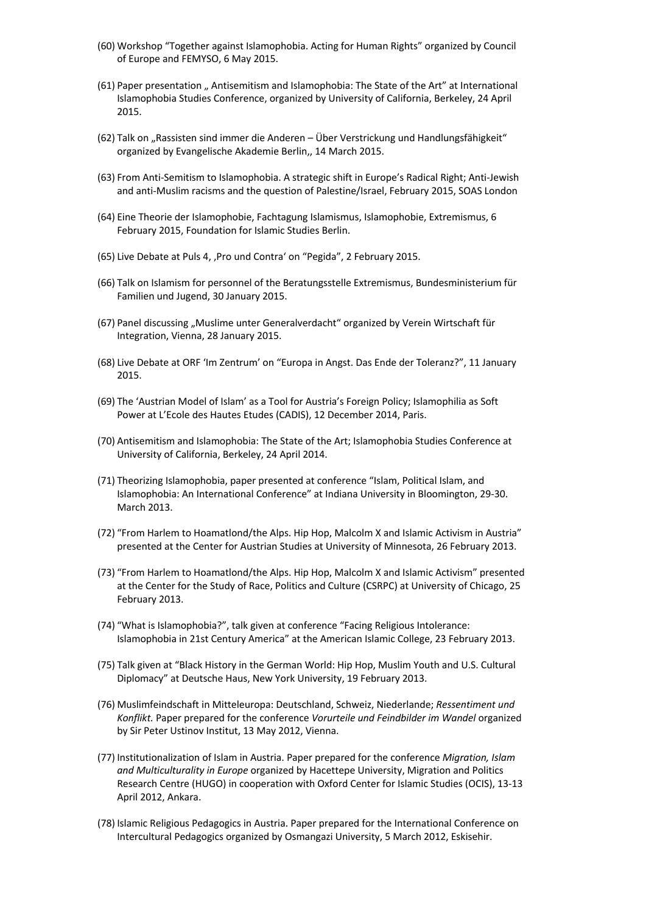- (60) Workshop "Together against Islamophobia. Acting for Human Rights" organized by Council of Europe and FEMYSO, 6 May 2015.
- (61) Paper presentation " Antisemitism and Islamophobia: The State of the Art" at International Islamophobia Studies Conference, organized by University of California, Berkeley, 24 April 2015.
- (62) Talk on "Rassisten sind immer die Anderen Über Verstrickung und Handlungsfähigkeit" organized by Evangelische Akademie Berlin,, 14 March 2015.
- (63) From Anti-Semitism to Islamophobia. A strategic shift in Europe's Radical Right; Anti-Jewish and anti-Muslim racisms and the question of Palestine/Israel, February 2015, SOAS London
- (64) Eine Theorie der Islamophobie, Fachtagung Islamismus, Islamophobie, Extremismus, 6 February 2015, Foundation for Islamic Studies Berlin.
- (65) Live Debate at Puls 4, 'Pro und Contra' on "Pegida", 2 February 2015.
- (66) Talk on Islamism for personnel of the Beratungsstelle Extremismus, Bundesministerium für Familien und Jugend, 30 January 2015.
- (67) Panel discussing "Muslime unter Generalverdacht" organized by Verein Wirtschaft für Integration, Vienna, 28 January 2015.
- (68) Live Debate at ORF 'Im Zentrum' on "Europa in Angst. Das Ende der Toleranz?", 11 January 2015.
- (69) The 'Austrian Model of Islam' as a Tool for Austria's Foreign Policy; Islamophilia as Soft Power at L'Ecole des Hautes Etudes (CADIS), 12 December 2014, Paris.
- (70) Antisemitism and Islamophobia: The State of the Art; Islamophobia Studies Conference at University of California, Berkeley, 24 April 2014.
- (71) Theorizing Islamophobia, paper presented at conference "Islam, Political Islam, and Islamophobia: An International Conference" at Indiana University in Bloomington, 29-30. March 2013.
- (72) "From Harlem to Hoamatlond/the Alps. Hip Hop, Malcolm X and Islamic Activism in Austria" presented at the Center for Austrian Studies at University of Minnesota, 26 February 2013.
- (73) "From Harlem to Hoamatlond/the Alps. Hip Hop, Malcolm X and Islamic Activism" presented at the Center for the Study of Race, Politics and Culture (CSRPC) at University of Chicago, 25 February 2013.
- (74) "What is Islamophobia?", talk given at conference "Facing Religious Intolerance: Islamophobia in 21st Century America" at the American Islamic College, 23 February 2013.
- (75) Talk given at "Black History in the German World: Hip Hop, Muslim Youth and U.S. Cultural Diplomacy" at Deutsche Haus, New York University, 19 February 2013.
- (76) Muslimfeindschaft in Mitteleuropa: Deutschland, Schweiz, Niederlande; *Ressentiment und Konflikt.* Paper prepared for the conference *Vorurteile und Feindbilder im Wandel* organized by Sir Peter Ustinov Institut, 13 May 2012, Vienna.
- (77) Institutionalization of Islam in Austria. Paper prepared for the conference *Migration, Islam and Multiculturality in Europe* organized by Hacettepe University, Migration and Politics Research Centre (HUGO) in cooperation with Oxford Center for Islamic Studies (OCIS), 13-13 April 2012, Ankara.
- (78) Islamic Religious Pedagogics in Austria. Paper prepared for the International Conference on Intercultural Pedagogics organized by Osmangazi University, 5 March 2012, Eskisehir.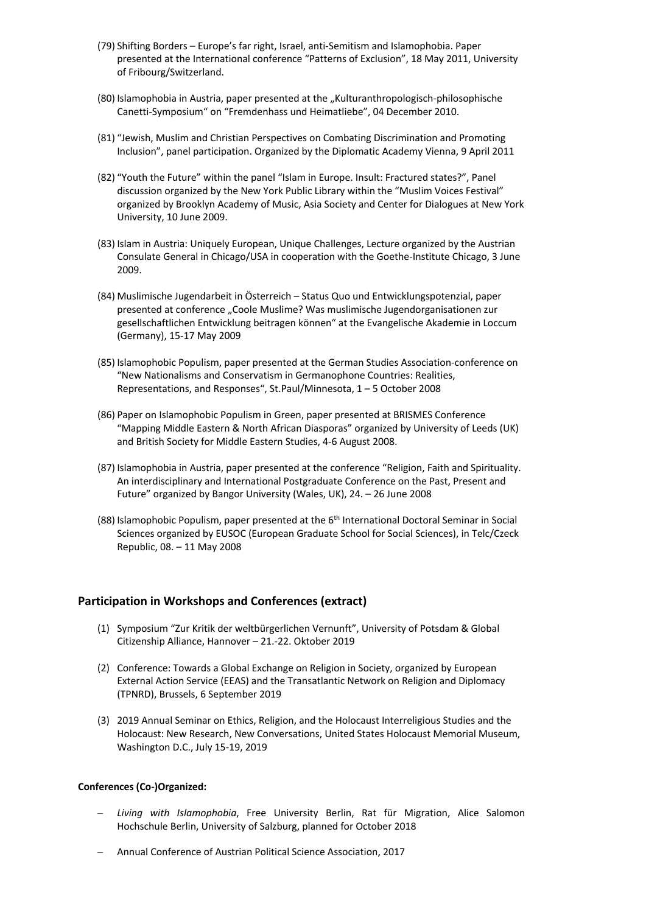- (79) Shifting Borders Europe's far right, Israel, anti-Semitism and Islamophobia. Paper presented at the International conference "Patterns of Exclusion", 18 May 2011, University of Fribourg/Switzerland.
- (80) Islamophobia in Austria, paper presented at the "Kulturanthropologisch-philosophische Canetti-Symposium" on "Fremdenhass und Heimatliebe", 04 December 2010.
- (81) "Jewish, Muslim and Christian Perspectives on Combating Discrimination and Promoting Inclusion", panel participation. Organized by the Diplomatic Academy Vienna, 9 April 2011
- (82) "Youth the Future" within the panel "Islam in Europe. Insult: Fractured states?", Panel discussion organized by the New York Public Library within the "Muslim Voices Festival" organized by Brooklyn Academy of Music, Asia Society and Center for Dialogues at New York University, 10 June 2009.
- (83) Islam in Austria: Uniquely European, Unique Challenges, Lecture organized by the Austrian Consulate General in Chicago/USA in cooperation with the Goethe-Institute Chicago, 3 June 2009.
- (84) Muslimische Jugendarbeit in Österreich Status Quo und Entwicklungspotenzial, paper presented at conference "Coole Muslime? Was muslimische Jugendorganisationen zur gesellschaftlichen Entwicklung beitragen können" at the Evangelische Akademie in Loccum (Germany), 15-17 May 2009
- (85) Islamophobic Populism, paper presented at the German Studies Association-conference on "New Nationalisms and Conservatism in Germanophone Countries: Realities, Representations, and Responses", St.Paul/Minnesota, 1 – 5 October 2008
- (86) Paper on Islamophobic Populism in Green, paper presented at BRISMES Conference "Mapping Middle Eastern & North African Diasporas" organized by University of Leeds (UK) and British Society for Middle Eastern Studies, 4-6 August 2008.
- (87) Islamophobia in Austria, paper presented at the conference "Religion, Faith and Spirituality. An interdisciplinary and International Postgraduate Conference on the Past, Present and Future" organized by Bangor University (Wales, UK), 24. – 26 June 2008
- (88) Islamophobic Populism, paper presented at the  $6<sup>th</sup>$  International Doctoral Seminar in Social Sciences organized by EUSOC (European Graduate School for Social Sciences), in Telc/Czeck Republic, 08. – 11 May 2008

## **Participation in Workshops and Conferences (extract)**

- (1) Symposium "Zur Kritik der weltbürgerlichen Vernunft", University of Potsdam & Global Citizenship Alliance, Hannover – 21.-22. Oktober 2019
- (2) Conference: Towards a Global Exchange on Religion in Society, organized by European External Action Service (EEAS) and the Transatlantic Network on Religion and Diplomacy (TPNRD), Brussels, 6 September 2019
- (3) 2019 Annual Seminar on Ethics, Religion, and the Holocaust Interreligious Studies and the Holocaust: New Research, New Conversations, United States Holocaust Memorial Museum, Washington D.C., July 15-19, 2019

#### **Conferences (Co-)Organized:**

- *Living with Islamophobia*, Free University Berlin, Rat für Migration, Alice Salomon Hochschule Berlin, University of Salzburg, planned for October 2018
- Annual Conference of Austrian Political Science Association, 2017